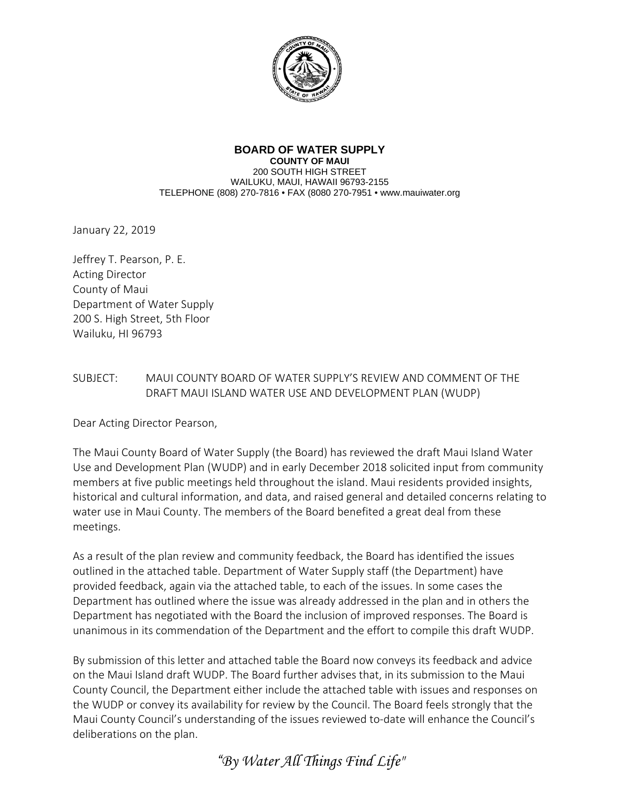

## **BOARD OF WATER SUPPLY COUNTY OF MAUI**

200 SOUTH HIGH STREET WAILUKU, MAUI, HAWAII 96793-2155 TELEPHONE (808) 270-7816 • FAX (8080 270-7951 • www.mauiwater.org

January 22, 2019

Jeffrey T. Pearson, P. E. Acting Director County of Maui Department of Water Supply 200 S. High Street, 5th Floor Wailuku, HI 96793

## SUBJECT: MAUI COUNTY BOARD OF WATER SUPPLY'S REVIEW AND COMMENT OF THE DRAFT MAUI ISLAND WATER USE AND DEVELOPMENT PLAN (WUDP)

Dear Acting Director Pearson,

The Maui County Board of Water Supply (the Board) has reviewed the draft Maui Island Water Use and Development Plan (WUDP) and in early December 2018 solicited input from community members at five public meetings held throughout the island. Maui residents provided insights, historical and cultural information, and data, and raised general and detailed concerns relating to water use in Maui County. The members of the Board benefited a great deal from these meetings.

As a result of the plan review and community feedback, the Board has identified the issues outlined in the attached table. Department of Water Supply staff (the Department) have provided feedback, again via the attached table, to each of the issues. In some cases the Department has outlined where the issue was already addressed in the plan and in others the Department has negotiated with the Board the inclusion of improved responses. The Board is unanimous in its commendation of the Department and the effort to compile this draft WUDP.

By submission of this letter and attached table the Board now conveys its feedback and advice on the Maui Island draft WUDP. The Board further advises that, in its submission to the Maui County Council, the Department either include the attached table with issues and responses on the WUDP or convey its availability for review by the Council. The Board feels strongly that the Maui County Council's understanding of the issues reviewed to-date will enhance the Council's deliberations on the plan.

*"By Water All Things Find Life"*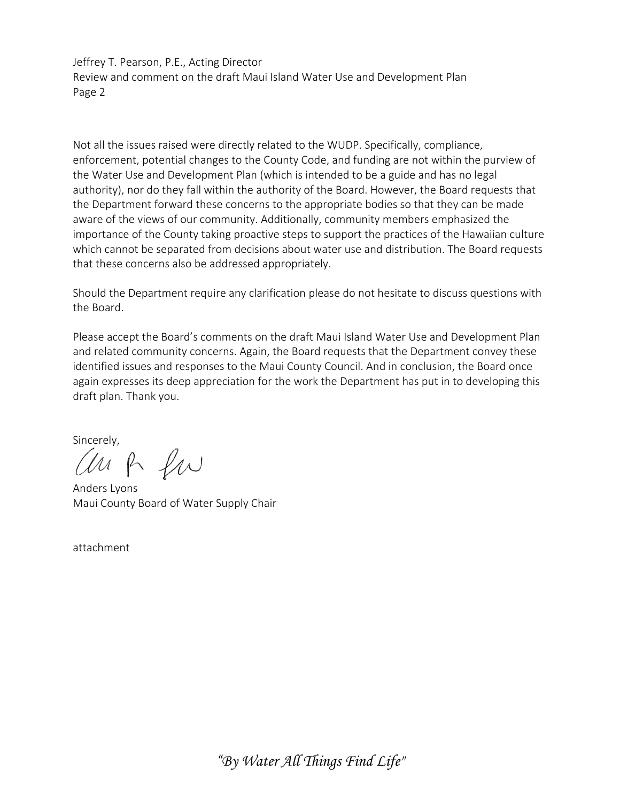Jeffrey T. Pearson, P.E., Acting Director Review and comment on the draft Maui Island Water Use and Development Plan Page 2

Not all the issues raised were directly related to the WUDP. Specifically, compliance, enforcement, potential changes to the County Code, and funding are not within the purview of the Water Use and Development Plan (which is intended to be a guide and has no legal authority), nor do they fall within the authority of the Board. However, the Board requests that the Department forward these concerns to the appropriate bodies so that they can be made aware of the views of our community. Additionally, community members emphasized the importance of the County taking proactive steps to support the practices of the Hawaiian culture which cannot be separated from decisions about water use and distribution. The Board requests that these concerns also be addressed appropriately.

Should the Department require any clarification please do not hesitate to discuss questions with the Board.

Please accept the Board's comments on the draft Maui Island Water Use and Development Plan and related community concerns. Again, the Board requests that the Department convey these identified issues and responses to the Maui County Council. And in conclusion, the Board once again expresses its deep appreciation for the work the Department has put in to developing this draft plan. Thank you.

sincerely,<br>*(UM* P *LI*U

Anders Lyons Maui County Board of Water Supply Chair

attachment

*"By Water All Things Find Life"*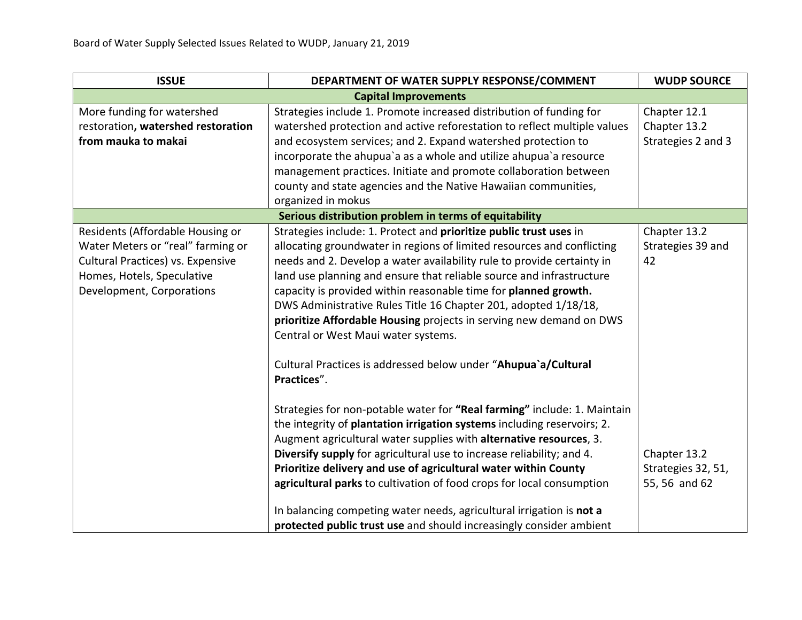| <b>ISSUE</b>                                                                                                                                                          | DEPARTMENT OF WATER SUPPLY RESPONSE/COMMENT                                                                                                                                                                                                                                                                                                                                                                                                                                                                                                                                                                                                                                                                                                                                                                                                                                                                                               | <b>WUDP SOURCE</b>                                      |
|-----------------------------------------------------------------------------------------------------------------------------------------------------------------------|-------------------------------------------------------------------------------------------------------------------------------------------------------------------------------------------------------------------------------------------------------------------------------------------------------------------------------------------------------------------------------------------------------------------------------------------------------------------------------------------------------------------------------------------------------------------------------------------------------------------------------------------------------------------------------------------------------------------------------------------------------------------------------------------------------------------------------------------------------------------------------------------------------------------------------------------|---------------------------------------------------------|
|                                                                                                                                                                       | <b>Capital Improvements</b>                                                                                                                                                                                                                                                                                                                                                                                                                                                                                                                                                                                                                                                                                                                                                                                                                                                                                                               |                                                         |
| More funding for watershed                                                                                                                                            | Strategies include 1. Promote increased distribution of funding for                                                                                                                                                                                                                                                                                                                                                                                                                                                                                                                                                                                                                                                                                                                                                                                                                                                                       | Chapter 12.1                                            |
| restoration, watershed restoration                                                                                                                                    | watershed protection and active reforestation to reflect multiple values                                                                                                                                                                                                                                                                                                                                                                                                                                                                                                                                                                                                                                                                                                                                                                                                                                                                  | Chapter 13.2                                            |
| from mauka to makai                                                                                                                                                   | and ecosystem services; and 2. Expand watershed protection to                                                                                                                                                                                                                                                                                                                                                                                                                                                                                                                                                                                                                                                                                                                                                                                                                                                                             | Strategies 2 and 3                                      |
|                                                                                                                                                                       | incorporate the ahupua'a as a whole and utilize ahupua'a resource                                                                                                                                                                                                                                                                                                                                                                                                                                                                                                                                                                                                                                                                                                                                                                                                                                                                         |                                                         |
|                                                                                                                                                                       | management practices. Initiate and promote collaboration between                                                                                                                                                                                                                                                                                                                                                                                                                                                                                                                                                                                                                                                                                                                                                                                                                                                                          |                                                         |
|                                                                                                                                                                       | county and state agencies and the Native Hawaiian communities,                                                                                                                                                                                                                                                                                                                                                                                                                                                                                                                                                                                                                                                                                                                                                                                                                                                                            |                                                         |
|                                                                                                                                                                       | organized in mokus                                                                                                                                                                                                                                                                                                                                                                                                                                                                                                                                                                                                                                                                                                                                                                                                                                                                                                                        |                                                         |
|                                                                                                                                                                       | Serious distribution problem in terms of equitability                                                                                                                                                                                                                                                                                                                                                                                                                                                                                                                                                                                                                                                                                                                                                                                                                                                                                     |                                                         |
| Residents (Affordable Housing or<br>Water Meters or "real" farming or<br>Cultural Practices) vs. Expensive<br>Homes, Hotels, Speculative<br>Development, Corporations | Strategies include: 1. Protect and prioritize public trust uses in<br>allocating groundwater in regions of limited resources and conflicting<br>needs and 2. Develop a water availability rule to provide certainty in<br>land use planning and ensure that reliable source and infrastructure<br>capacity is provided within reasonable time for planned growth.<br>DWS Administrative Rules Title 16 Chapter 201, adopted 1/18/18,<br>prioritize Affordable Housing projects in serving new demand on DWS<br>Central or West Maui water systems.<br>Cultural Practices is addressed below under "Ahupua'a/Cultural<br>Practices".<br>Strategies for non-potable water for "Real farming" include: 1. Maintain<br>the integrity of plantation irrigation systems including reservoirs; 2.<br>Augment agricultural water supplies with alternative resources, 3.<br>Diversify supply for agricultural use to increase reliability; and 4. | Chapter 13.2<br>Strategies 39 and<br>42<br>Chapter 13.2 |
|                                                                                                                                                                       | Prioritize delivery and use of agricultural water within County<br>agricultural parks to cultivation of food crops for local consumption                                                                                                                                                                                                                                                                                                                                                                                                                                                                                                                                                                                                                                                                                                                                                                                                  | Strategies 32, 51,<br>55, 56 and 62                     |
|                                                                                                                                                                       | In balancing competing water needs, agricultural irrigation is not a                                                                                                                                                                                                                                                                                                                                                                                                                                                                                                                                                                                                                                                                                                                                                                                                                                                                      |                                                         |
|                                                                                                                                                                       | protected public trust use and should increasingly consider ambient                                                                                                                                                                                                                                                                                                                                                                                                                                                                                                                                                                                                                                                                                                                                                                                                                                                                       |                                                         |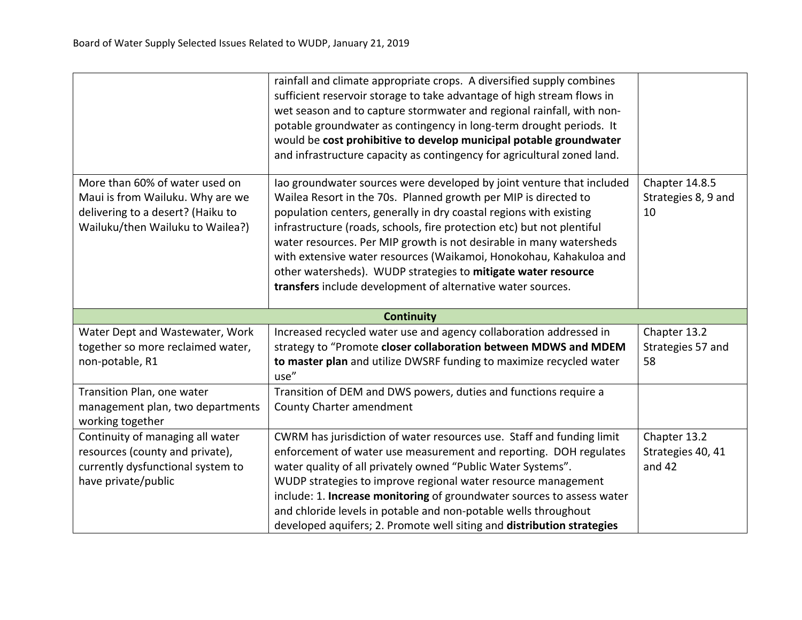|                                                                                                                                             | rainfall and climate appropriate crops. A diversified supply combines<br>sufficient reservoir storage to take advantage of high stream flows in<br>wet season and to capture stormwater and regional rainfall, with non-<br>potable groundwater as contingency in long-term drought periods. It<br>would be cost prohibitive to develop municipal potable groundwater<br>and infrastructure capacity as contingency for agricultural zoned land.                                                                                                                      |                                             |
|---------------------------------------------------------------------------------------------------------------------------------------------|-----------------------------------------------------------------------------------------------------------------------------------------------------------------------------------------------------------------------------------------------------------------------------------------------------------------------------------------------------------------------------------------------------------------------------------------------------------------------------------------------------------------------------------------------------------------------|---------------------------------------------|
| More than 60% of water used on<br>Maui is from Wailuku. Why are we<br>delivering to a desert? (Haiku to<br>Wailuku/then Wailuku to Wailea?) | lao groundwater sources were developed by joint venture that included<br>Wailea Resort in the 70s. Planned growth per MIP is directed to<br>population centers, generally in dry coastal regions with existing<br>infrastructure (roads, schools, fire protection etc) but not plentiful<br>water resources. Per MIP growth is not desirable in many watersheds<br>with extensive water resources (Waikamoi, Honokohau, Kahakuloa and<br>other watersheds). WUDP strategies to mitigate water resource<br>transfers include development of alternative water sources. | Chapter 14.8.5<br>Strategies 8, 9 and<br>10 |
|                                                                                                                                             | <b>Continuity</b>                                                                                                                                                                                                                                                                                                                                                                                                                                                                                                                                                     |                                             |
| Water Dept and Wastewater, Work<br>together so more reclaimed water,<br>non-potable, R1                                                     | Increased recycled water use and agency collaboration addressed in<br>strategy to "Promote closer collaboration between MDWS and MDEM<br>to master plan and utilize DWSRF funding to maximize recycled water<br>use"                                                                                                                                                                                                                                                                                                                                                  | Chapter 13.2<br>Strategies 57 and<br>58     |
| Transition Plan, one water<br>management plan, two departments<br>working together                                                          | Transition of DEM and DWS powers, duties and functions require a<br>County Charter amendment                                                                                                                                                                                                                                                                                                                                                                                                                                                                          |                                             |
| Continuity of managing all water<br>resources (county and private),<br>currently dysfunctional system to<br>have private/public             | CWRM has jurisdiction of water resources use. Staff and funding limit<br>enforcement of water use measurement and reporting. DOH regulates<br>water quality of all privately owned "Public Water Systems".<br>WUDP strategies to improve regional water resource management<br>include: 1. Increase monitoring of groundwater sources to assess water<br>and chloride levels in potable and non-potable wells throughout<br>developed aquifers; 2. Promote well siting and distribution strategies                                                                    | Chapter 13.2<br>Strategies 40, 41<br>and 42 |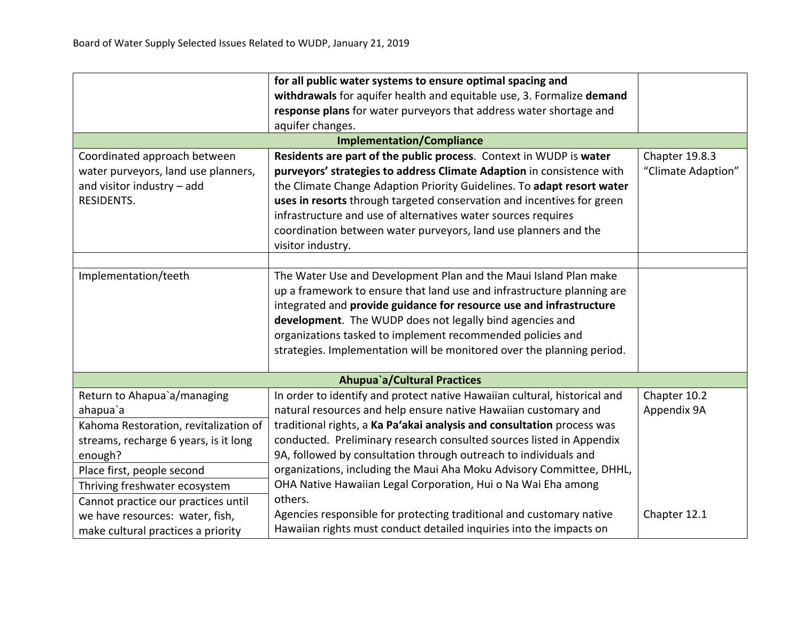|                                       | for all public water systems to ensure optimal spacing and                |                    |
|---------------------------------------|---------------------------------------------------------------------------|--------------------|
|                                       | withdrawals for aquifer health and equitable use, 3. Formalize demand     |                    |
|                                       | response plans for water purveyors that address water shortage and        |                    |
|                                       | aquifer changes.                                                          |                    |
|                                       | <b>Implementation/Compliance</b>                                          |                    |
| Coordinated approach between          | Residents are part of the public process. Context in WUDP is water        | Chapter 19.8.3     |
| water purveyors, land use planners,   | purveyors' strategies to address Climate Adaption in consistence with     | "Climate Adaption" |
| and visitor industry - add            | the Climate Change Adaption Priority Guidelines. To adapt resort water    |                    |
| RESIDENTS.                            | uses in resorts through targeted conservation and incentives for green    |                    |
|                                       | infrastructure and use of alternatives water sources requires             |                    |
|                                       | coordination between water purveyors, land use planners and the           |                    |
|                                       | visitor industry.                                                         |                    |
|                                       |                                                                           |                    |
| Implementation/teeth                  | The Water Use and Development Plan and the Maui Island Plan make          |                    |
|                                       | up a framework to ensure that land use and infrastructure planning are    |                    |
|                                       | integrated and provide guidance for resource use and infrastructure       |                    |
|                                       | development. The WUDP does not legally bind agencies and                  |                    |
|                                       | organizations tasked to implement recommended policies and                |                    |
|                                       | strategies. Implementation will be monitored over the planning period.    |                    |
|                                       |                                                                           |                    |
|                                       | <b>Ahupua</b> `a/Cultural Practices                                       |                    |
| Return to Ahapua'a/managing           | In order to identify and protect native Hawaiian cultural, historical and | Chapter 10.2       |
| ahapua`a                              | natural resources and help ensure native Hawaiian customary and           | Appendix 9A        |
| Kahoma Restoration, revitalization of | traditional rights, a Ka Pa'akai analysis and consultation process was    |                    |
| streams, recharge 6 years, is it long | conducted. Preliminary research consulted sources listed in Appendix      |                    |
| enough?                               | 9A, followed by consultation through outreach to individuals and          |                    |
| Place first, people second            | organizations, including the Maui Aha Moku Advisory Committee, DHHL,      |                    |
| Thriving freshwater ecosystem         | OHA Native Hawaiian Legal Corporation, Hui o Na Wai Eha among             |                    |
| Cannot practice our practices until   | others.                                                                   |                    |
| we have resources: water, fish,       | Agencies responsible for protecting traditional and customary native      | Chapter 12.1       |
| make cultural practices a priority    | Hawaiian rights must conduct detailed inquiries into the impacts on       |                    |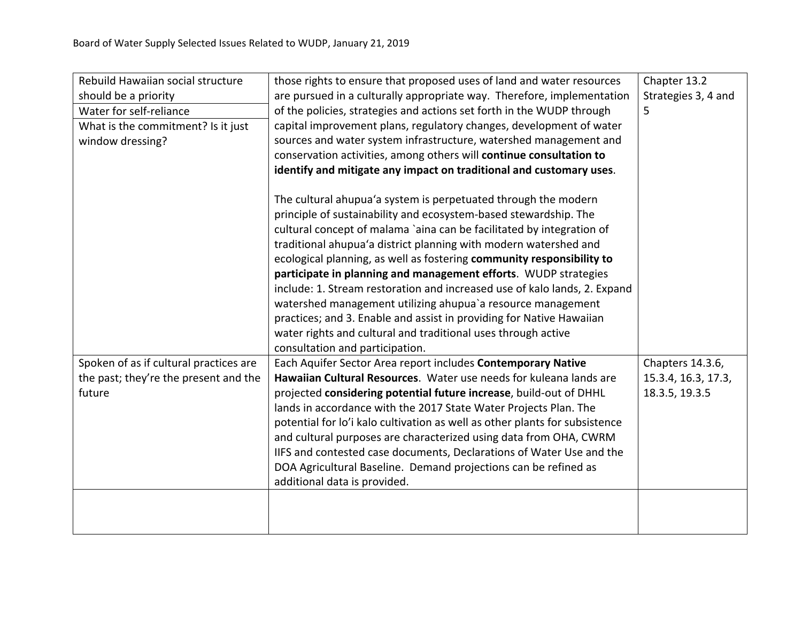| Rebuild Hawaiian social structure      | those rights to ensure that proposed uses of land and water resources       | Chapter 13.2        |
|----------------------------------------|-----------------------------------------------------------------------------|---------------------|
| should be a priority                   | are pursued in a culturally appropriate way. Therefore, implementation      | Strategies 3, 4 and |
| Water for self-reliance                | of the policies, strategies and actions set forth in the WUDP through       | 5                   |
| What is the commitment? Is it just     | capital improvement plans, regulatory changes, development of water         |                     |
| window dressing?                       | sources and water system infrastructure, watershed management and           |                     |
|                                        | conservation activities, among others will continue consultation to         |                     |
|                                        | identify and mitigate any impact on traditional and customary uses.         |                     |
|                                        |                                                                             |                     |
|                                        | The cultural ahupua'a system is perpetuated through the modern              |                     |
|                                        | principle of sustainability and ecosystem-based stewardship. The            |                     |
|                                        | cultural concept of malama `aina can be facilitated by integration of       |                     |
|                                        | traditional ahupua'a district planning with modern watershed and            |                     |
|                                        | ecological planning, as well as fostering community responsibility to       |                     |
|                                        | participate in planning and management efforts. WUDP strategies             |                     |
|                                        | include: 1. Stream restoration and increased use of kalo lands, 2. Expand   |                     |
|                                        | watershed management utilizing ahupua'a resource management                 |                     |
|                                        | practices; and 3. Enable and assist in providing for Native Hawaiian        |                     |
|                                        | water rights and cultural and traditional uses through active               |                     |
|                                        | consultation and participation.                                             |                     |
| Spoken of as if cultural practices are | Each Aquifer Sector Area report includes Contemporary Native                | Chapters 14.3.6,    |
| the past; they're the present and the  | Hawaiian Cultural Resources. Water use needs for kuleana lands are          | 15.3.4, 16.3, 17.3, |
| future                                 | projected considering potential future increase, build-out of DHHL          | 18.3.5, 19.3.5      |
|                                        | lands in accordance with the 2017 State Water Projects Plan. The            |                     |
|                                        | potential for lo'i kalo cultivation as well as other plants for subsistence |                     |
|                                        | and cultural purposes are characterized using data from OHA, CWRM           |                     |
|                                        | IIFS and contested case documents, Declarations of Water Use and the        |                     |
|                                        | DOA Agricultural Baseline. Demand projections can be refined as             |                     |
|                                        | additional data is provided.                                                |                     |
|                                        |                                                                             |                     |
|                                        |                                                                             |                     |
|                                        |                                                                             |                     |
|                                        |                                                                             |                     |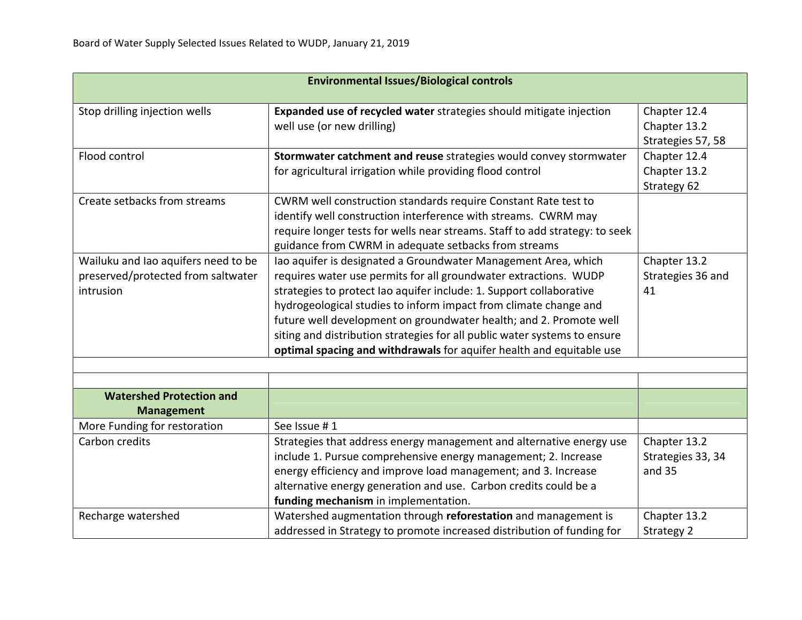| <b>Environmental Issues/Biological controls</b>                                        |                                                                                                                                                                                                                                                                                                                                                                                                                                                                                                          |                                                   |
|----------------------------------------------------------------------------------------|----------------------------------------------------------------------------------------------------------------------------------------------------------------------------------------------------------------------------------------------------------------------------------------------------------------------------------------------------------------------------------------------------------------------------------------------------------------------------------------------------------|---------------------------------------------------|
| Stop drilling injection wells                                                          | Expanded use of recycled water strategies should mitigate injection<br>well use (or new drilling)                                                                                                                                                                                                                                                                                                                                                                                                        | Chapter 12.4<br>Chapter 13.2<br>Strategies 57, 58 |
| Flood control                                                                          | Stormwater catchment and reuse strategies would convey stormwater<br>for agricultural irrigation while providing flood control                                                                                                                                                                                                                                                                                                                                                                           | Chapter 12.4<br>Chapter 13.2<br>Strategy 62       |
| Create setbacks from streams                                                           | CWRM well construction standards require Constant Rate test to<br>identify well construction interference with streams. CWRM may<br>require longer tests for wells near streams. Staff to add strategy: to seek<br>guidance from CWRM in adequate setbacks from streams                                                                                                                                                                                                                                  |                                                   |
| Wailuku and Iao aquifers need to be<br>preserved/protected from saltwater<br>intrusion | Iao aquifer is designated a Groundwater Management Area, which<br>requires water use permits for all groundwater extractions. WUDP<br>strategies to protect lao aquifer include: 1. Support collaborative<br>hydrogeological studies to inform impact from climate change and<br>future well development on groundwater health; and 2. Promote well<br>siting and distribution strategies for all public water systems to ensure<br>optimal spacing and withdrawals for aquifer health and equitable use | Chapter 13.2<br>Strategies 36 and<br>41           |
|                                                                                        |                                                                                                                                                                                                                                                                                                                                                                                                                                                                                                          |                                                   |
| <b>Watershed Protection and</b><br><b>Management</b>                                   |                                                                                                                                                                                                                                                                                                                                                                                                                                                                                                          |                                                   |
| More Funding for restoration                                                           | See Issue #1                                                                                                                                                                                                                                                                                                                                                                                                                                                                                             |                                                   |
| Carbon credits                                                                         | Strategies that address energy management and alternative energy use<br>include 1. Pursue comprehensive energy management; 2. Increase<br>energy efficiency and improve load management; and 3. Increase<br>alternative energy generation and use. Carbon credits could be a<br>funding mechanism in implementation.                                                                                                                                                                                     | Chapter 13.2<br>Strategies 33, 34<br>and 35       |
| Recharge watershed                                                                     | Watershed augmentation through reforestation and management is<br>addressed in Strategy to promote increased distribution of funding for                                                                                                                                                                                                                                                                                                                                                                 | Chapter 13.2<br>Strategy 2                        |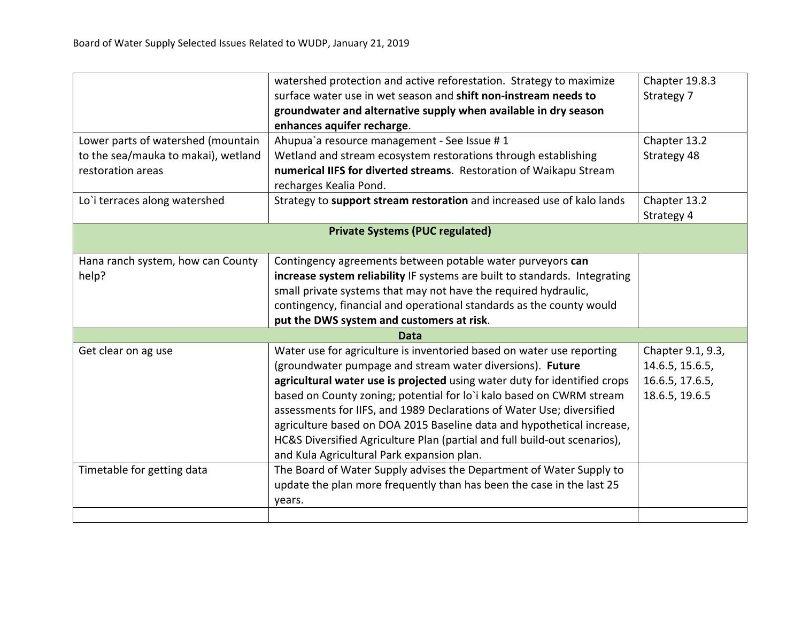|                                     | watershed protection and active reforestation. Strategy to maximize        | Chapter 19.8.3    |
|-------------------------------------|----------------------------------------------------------------------------|-------------------|
|                                     | surface water use in wet season and shift non-instream needs to            | Strategy 7        |
|                                     | groundwater and alternative supply when available in dry season            |                   |
|                                     | enhances aquifer recharge.                                                 |                   |
| Lower parts of watershed (mountain  | Ahupua'a resource management - See Issue #1                                | Chapter 13.2      |
| to the sea/mauka to makai), wetland | Wetland and stream ecosystem restorations through establishing             | Strategy 48       |
| restoration areas                   | numerical IIFS for diverted streams. Restoration of Waikapu Stream         |                   |
|                                     | recharges Kealia Pond.                                                     |                   |
| Lo'i terraces along watershed       | Strategy to support stream restoration and increased use of kalo lands     | Chapter 13.2      |
|                                     |                                                                            | Strategy 4        |
|                                     | <b>Private Systems (PUC regulated)</b>                                     |                   |
|                                     |                                                                            |                   |
| Hana ranch system, how can County   | Contingency agreements between potable water purveyors can                 |                   |
| help?                               | increase system reliability IF systems are built to standards. Integrating |                   |
|                                     | small private systems that may not have the required hydraulic,            |                   |
|                                     | contingency, financial and operational standards as the county would       |                   |
|                                     | put the DWS system and customers at risk.                                  |                   |
| Data                                |                                                                            |                   |
| Get clear on ag use                 | Water use for agriculture is inventoried based on water use reporting      | Chapter 9.1, 9.3, |
|                                     | (groundwater pumpage and stream water diversions). Future                  | 14.6.5, 15.6.5,   |
|                                     | agricultural water use is projected using water duty for identified crops  | 16.6.5, 17.6.5,   |
|                                     | based on County zoning; potential for lo'i kalo based on CWRM stream       | 18.6.5, 19.6.5    |
|                                     | assessments for IIFS, and 1989 Declarations of Water Use; diversified      |                   |
|                                     | agriculture based on DOA 2015 Baseline data and hypothetical increase,     |                   |
|                                     | HC&S Diversified Agriculture Plan (partial and full build-out scenarios),  |                   |
|                                     | and Kula Agricultural Park expansion plan.                                 |                   |
| Timetable for getting data          | The Board of Water Supply advises the Department of Water Supply to        |                   |
|                                     | update the plan more frequently than has been the case in the last 25      |                   |
|                                     | years.                                                                     |                   |
|                                     |                                                                            |                   |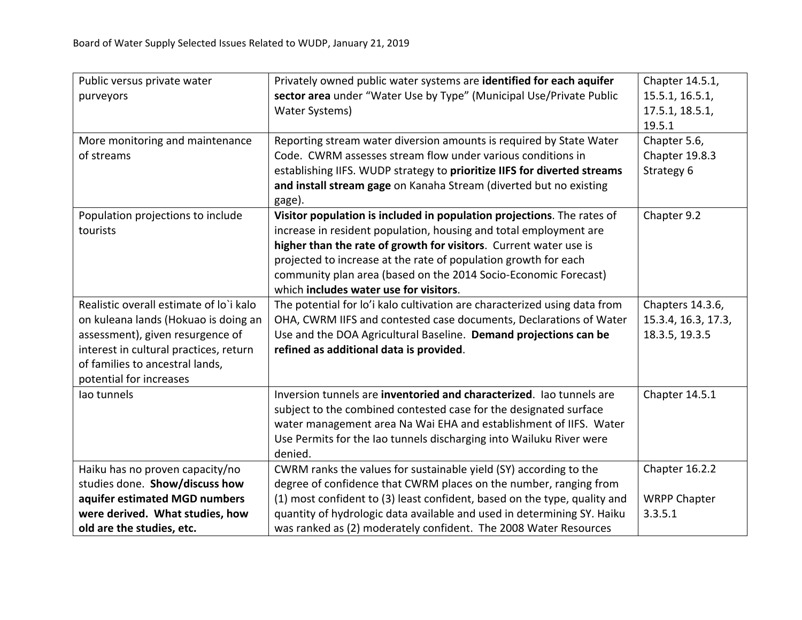| Public versus private water             | Privately owned public water systems are identified for each aquifer      | Chapter 14.5.1,     |
|-----------------------------------------|---------------------------------------------------------------------------|---------------------|
| purveyors                               | sector area under "Water Use by Type" (Municipal Use/Private Public       | 15.5.1, 16.5.1,     |
|                                         | <b>Water Systems)</b>                                                     | 17.5.1, 18.5.1,     |
|                                         |                                                                           | 19.5.1              |
| More monitoring and maintenance         | Reporting stream water diversion amounts is required by State Water       | Chapter 5.6,        |
| of streams                              | Code. CWRM assesses stream flow under various conditions in               | Chapter 19.8.3      |
|                                         | establishing IIFS. WUDP strategy to prioritize IIFS for diverted streams  | Strategy 6          |
|                                         | and install stream gage on Kanaha Stream (diverted but no existing        |                     |
|                                         | gage).                                                                    |                     |
| Population projections to include       | Visitor population is included in population projections. The rates of    | Chapter 9.2         |
| tourists                                | increase in resident population, housing and total employment are         |                     |
|                                         | higher than the rate of growth for visitors. Current water use is         |                     |
|                                         | projected to increase at the rate of population growth for each           |                     |
|                                         | community plan area (based on the 2014 Socio-Economic Forecast)           |                     |
|                                         | which includes water use for visitors.                                    |                     |
| Realistic overall estimate of lo'i kalo | The potential for lo'i kalo cultivation are characterized using data from | Chapters 14.3.6,    |
| on kuleana lands (Hokuao is doing an    | OHA, CWRM IIFS and contested case documents, Declarations of Water        | 15.3.4, 16.3, 17.3, |
| assessment), given resurgence of        | Use and the DOA Agricultural Baseline. Demand projections can be          | 18.3.5, 19.3.5      |
| interest in cultural practices, return  | refined as additional data is provided.                                   |                     |
| of families to ancestral lands,         |                                                                           |                     |
| potential for increases                 |                                                                           |                     |
| lao tunnels                             | Inversion tunnels are inventoried and characterized. Iao tunnels are      | Chapter 14.5.1      |
|                                         | subject to the combined contested case for the designated surface         |                     |
|                                         | water management area Na Wai EHA and establishment of IIFS. Water         |                     |
|                                         | Use Permits for the Iao tunnels discharging into Wailuku River were       |                     |
|                                         | denied.                                                                   |                     |
| Haiku has no proven capacity/no         | CWRM ranks the values for sustainable yield (SY) according to the         | Chapter 16.2.2      |
| studies done. Show/discuss how          | degree of confidence that CWRM places on the number, ranging from         |                     |
| aquifer estimated MGD numbers           | (1) most confident to (3) least confident, based on the type, quality and | <b>WRPP Chapter</b> |
| were derived. What studies, how         | quantity of hydrologic data available and used in determining SY. Haiku   | 3.3.5.1             |
| old are the studies, etc.               | was ranked as (2) moderately confident. The 2008 Water Resources          |                     |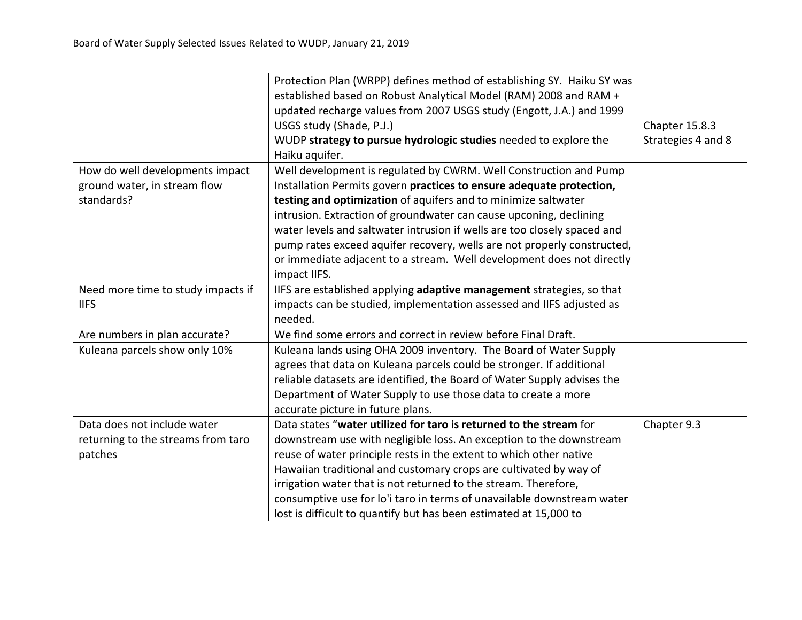|                                    | Protection Plan (WRPP) defines method of establishing SY. Haiku SY was<br>established based on Robust Analytical Model (RAM) 2008 and RAM + |                    |
|------------------------------------|---------------------------------------------------------------------------------------------------------------------------------------------|--------------------|
|                                    | updated recharge values from 2007 USGS study (Engott, J.A.) and 1999                                                                        |                    |
|                                    | USGS study (Shade, P.J.)                                                                                                                    | Chapter 15.8.3     |
|                                    | WUDP strategy to pursue hydrologic studies needed to explore the                                                                            | Strategies 4 and 8 |
|                                    | Haiku aquifer.                                                                                                                              |                    |
|                                    |                                                                                                                                             |                    |
| How do well developments impact    | Well development is regulated by CWRM. Well Construction and Pump                                                                           |                    |
| ground water, in stream flow       | Installation Permits govern practices to ensure adequate protection,                                                                        |                    |
| standards?                         | testing and optimization of aquifers and to minimize saltwater                                                                              |                    |
|                                    | intrusion. Extraction of groundwater can cause upconing, declining                                                                          |                    |
|                                    | water levels and saltwater intrusion if wells are too closely spaced and                                                                    |                    |
|                                    | pump rates exceed aquifer recovery, wells are not properly constructed,                                                                     |                    |
|                                    | or immediate adjacent to a stream. Well development does not directly                                                                       |                    |
|                                    | impact IIFS.                                                                                                                                |                    |
| Need more time to study impacts if | IIFS are established applying adaptive management strategies, so that                                                                       |                    |
| <b>IIFS</b>                        | impacts can be studied, implementation assessed and IIFS adjusted as                                                                        |                    |
|                                    | needed.                                                                                                                                     |                    |
| Are numbers in plan accurate?      | We find some errors and correct in review before Final Draft.                                                                               |                    |
| Kuleana parcels show only 10%      | Kuleana lands using OHA 2009 inventory. The Board of Water Supply                                                                           |                    |
|                                    | agrees that data on Kuleana parcels could be stronger. If additional                                                                        |                    |
|                                    | reliable datasets are identified, the Board of Water Supply advises the                                                                     |                    |
|                                    | Department of Water Supply to use those data to create a more                                                                               |                    |
|                                    | accurate picture in future plans.                                                                                                           |                    |
| Data does not include water        | Data states "water utilized for taro is returned to the stream for                                                                          | Chapter 9.3        |
| returning to the streams from taro | downstream use with negligible loss. An exception to the downstream                                                                         |                    |
| patches                            | reuse of water principle rests in the extent to which other native                                                                          |                    |
|                                    | Hawaiian traditional and customary crops are cultivated by way of                                                                           |                    |
|                                    | irrigation water that is not returned to the stream. Therefore,                                                                             |                    |
|                                    | consumptive use for lo'i taro in terms of unavailable downstream water                                                                      |                    |
|                                    | lost is difficult to quantify but has been estimated at 15,000 to                                                                           |                    |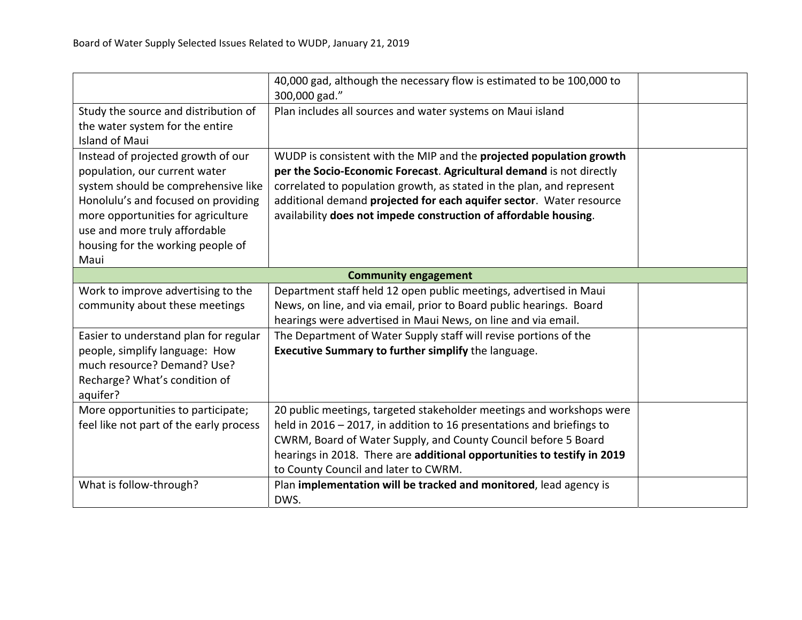|                                         | 40,000 gad, although the necessary flow is estimated to be 100,000 to<br>300,000 gad." |  |
|-----------------------------------------|----------------------------------------------------------------------------------------|--|
| Study the source and distribution of    | Plan includes all sources and water systems on Maui island                             |  |
| the water system for the entire         |                                                                                        |  |
| <b>Island of Maui</b>                   |                                                                                        |  |
| Instead of projected growth of our      | WUDP is consistent with the MIP and the projected population growth                    |  |
| population, our current water           | per the Socio-Economic Forecast. Agricultural demand is not directly                   |  |
| system should be comprehensive like     | correlated to population growth, as stated in the plan, and represent                  |  |
| Honolulu's and focused on providing     | additional demand projected for each aquifer sector. Water resource                    |  |
| more opportunities for agriculture      | availability does not impede construction of affordable housing.                       |  |
| use and more truly affordable           |                                                                                        |  |
| housing for the working people of       |                                                                                        |  |
| Maui                                    |                                                                                        |  |
|                                         | <b>Community engagement</b>                                                            |  |
| Work to improve advertising to the      | Department staff held 12 open public meetings, advertised in Maui                      |  |
| community about these meetings          | News, on line, and via email, prior to Board public hearings. Board                    |  |
|                                         | hearings were advertised in Maui News, on line and via email.                          |  |
| Easier to understand plan for regular   | The Department of Water Supply staff will revise portions of the                       |  |
| people, simplify language: How          | <b>Executive Summary to further simplify the language.</b>                             |  |
| much resource? Demand? Use?             |                                                                                        |  |
| Recharge? What's condition of           |                                                                                        |  |
| aquifer?                                |                                                                                        |  |
| More opportunities to participate;      | 20 public meetings, targeted stakeholder meetings and workshops were                   |  |
| feel like not part of the early process | held in 2016 – 2017, in addition to 16 presentations and briefings to                  |  |
|                                         | CWRM, Board of Water Supply, and County Council before 5 Board                         |  |
|                                         | hearings in 2018. There are additional opportunities to testify in 2019                |  |
|                                         | to County Council and later to CWRM.                                                   |  |
| What is follow-through?                 | Plan implementation will be tracked and monitored, lead agency is                      |  |
|                                         | DWS.                                                                                   |  |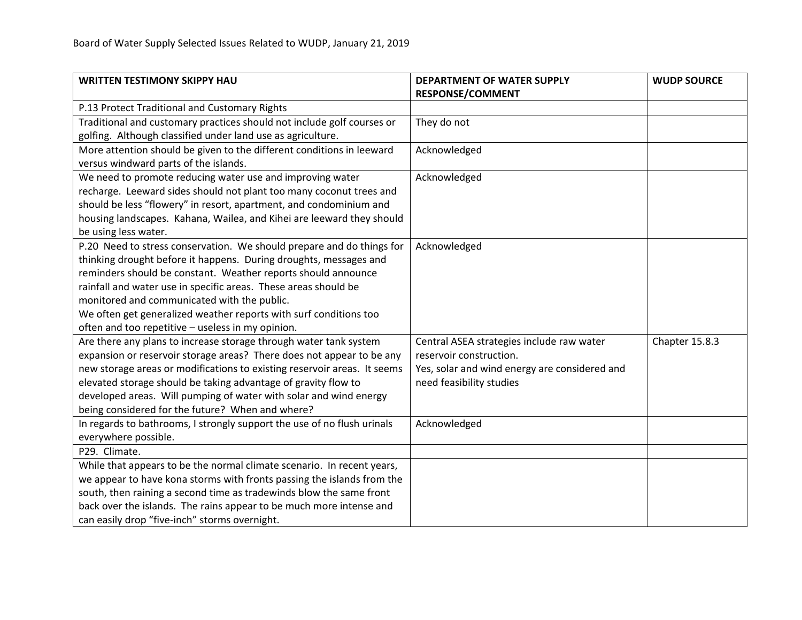| <b>WRITTEN TESTIMONY SKIPPY HAU</b>                                      | <b>DEPARTMENT OF WATER SUPPLY</b>             | <b>WUDP SOURCE</b> |
|--------------------------------------------------------------------------|-----------------------------------------------|--------------------|
|                                                                          | <b>RESPONSE/COMMENT</b>                       |                    |
| P.13 Protect Traditional and Customary Rights                            |                                               |                    |
| Traditional and customary practices should not include golf courses or   | They do not                                   |                    |
| golfing. Although classified under land use as agriculture.              |                                               |                    |
| More attention should be given to the different conditions in leeward    | Acknowledged                                  |                    |
| versus windward parts of the islands.                                    |                                               |                    |
| We need to promote reducing water use and improving water                | Acknowledged                                  |                    |
| recharge. Leeward sides should not plant too many coconut trees and      |                                               |                    |
| should be less "flowery" in resort, apartment, and condominium and       |                                               |                    |
| housing landscapes. Kahana, Wailea, and Kihei are leeward they should    |                                               |                    |
| be using less water.                                                     |                                               |                    |
| P.20 Need to stress conservation. We should prepare and do things for    | Acknowledged                                  |                    |
| thinking drought before it happens. During droughts, messages and        |                                               |                    |
| reminders should be constant. Weather reports should announce            |                                               |                    |
| rainfall and water use in specific areas. These areas should be          |                                               |                    |
| monitored and communicated with the public.                              |                                               |                    |
| We often get generalized weather reports with surf conditions too        |                                               |                    |
| often and too repetitive - useless in my opinion.                        |                                               |                    |
| Are there any plans to increase storage through water tank system        | Central ASEA strategies include raw water     | Chapter 15.8.3     |
| expansion or reservoir storage areas? There does not appear to be any    | reservoir construction.                       |                    |
| new storage areas or modifications to existing reservoir areas. It seems | Yes, solar and wind energy are considered and |                    |
| elevated storage should be taking advantage of gravity flow to           | need feasibility studies                      |                    |
| developed areas. Will pumping of water with solar and wind energy        |                                               |                    |
| being considered for the future? When and where?                         |                                               |                    |
| In regards to bathrooms, I strongly support the use of no flush urinals  | Acknowledged                                  |                    |
| everywhere possible.                                                     |                                               |                    |
| P29. Climate.                                                            |                                               |                    |
| While that appears to be the normal climate scenario. In recent years,   |                                               |                    |
| we appear to have kona storms with fronts passing the islands from the   |                                               |                    |
| south, then raining a second time as tradewinds blow the same front      |                                               |                    |
| back over the islands. The rains appear to be much more intense and      |                                               |                    |
| can easily drop "five-inch" storms overnight.                            |                                               |                    |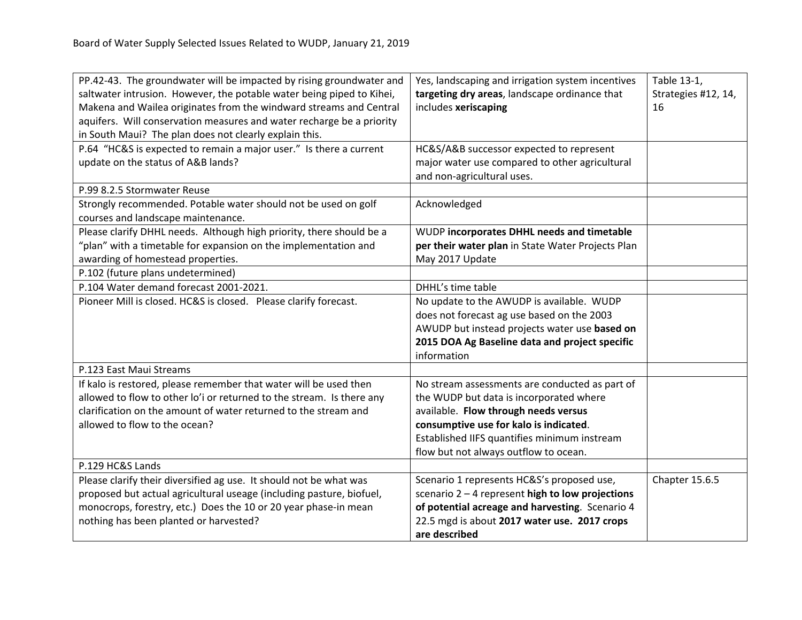| PP.42-43. The groundwater will be impacted by rising groundwater and<br>saltwater intrusion. However, the potable water being piped to Kihei,<br>Makena and Wailea originates from the windward streams and Central<br>aquifers. Will conservation measures and water recharge be a priority<br>in South Maui? The plan does not clearly explain this. | Yes, landscaping and irrigation system incentives<br>targeting dry areas, landscape ordinance that<br>includes xeriscaping                                                                                                                                           | Table 13-1,<br>Strategies #12, 14,<br>16 |
|--------------------------------------------------------------------------------------------------------------------------------------------------------------------------------------------------------------------------------------------------------------------------------------------------------------------------------------------------------|----------------------------------------------------------------------------------------------------------------------------------------------------------------------------------------------------------------------------------------------------------------------|------------------------------------------|
| P.64 "HC&S is expected to remain a major user." Is there a current<br>update on the status of A&B lands?                                                                                                                                                                                                                                               | HC&S/A&B successor expected to represent<br>major water use compared to other agricultural<br>and non-agricultural uses.                                                                                                                                             |                                          |
| P.99 8.2.5 Stormwater Reuse                                                                                                                                                                                                                                                                                                                            |                                                                                                                                                                                                                                                                      |                                          |
| Strongly recommended. Potable water should not be used on golf<br>courses and landscape maintenance.                                                                                                                                                                                                                                                   | Acknowledged                                                                                                                                                                                                                                                         |                                          |
| Please clarify DHHL needs. Although high priority, there should be a<br>"plan" with a timetable for expansion on the implementation and<br>awarding of homestead properties.                                                                                                                                                                           | WUDP incorporates DHHL needs and timetable<br>per their water plan in State Water Projects Plan<br>May 2017 Update                                                                                                                                                   |                                          |
| P.102 (future plans undetermined)                                                                                                                                                                                                                                                                                                                      |                                                                                                                                                                                                                                                                      |                                          |
| P.104 Water demand forecast 2001-2021.                                                                                                                                                                                                                                                                                                                 | DHHL's time table                                                                                                                                                                                                                                                    |                                          |
| Pioneer Mill is closed. HC&S is closed. Please clarify forecast.                                                                                                                                                                                                                                                                                       | No update to the AWUDP is available. WUDP<br>does not forecast ag use based on the 2003<br>AWUDP but instead projects water use based on<br>2015 DOA Ag Baseline data and project specific<br>information                                                            |                                          |
| P.123 East Maui Streams                                                                                                                                                                                                                                                                                                                                |                                                                                                                                                                                                                                                                      |                                          |
| If kalo is restored, please remember that water will be used then<br>allowed to flow to other lo'i or returned to the stream. Is there any<br>clarification on the amount of water returned to the stream and<br>allowed to flow to the ocean?                                                                                                         | No stream assessments are conducted as part of<br>the WUDP but data is incorporated where<br>available. Flow through needs versus<br>consumptive use for kalo is indicated.<br>Established IIFS quantifies minimum instream<br>flow but not always outflow to ocean. |                                          |
| P.129 HC&S Lands                                                                                                                                                                                                                                                                                                                                       |                                                                                                                                                                                                                                                                      |                                          |
| Please clarify their diversified ag use. It should not be what was<br>proposed but actual agricultural useage (including pasture, biofuel,<br>monocrops, forestry, etc.) Does the 10 or 20 year phase-in mean<br>nothing has been planted or harvested?                                                                                                | Scenario 1 represents HC&S's proposed use,<br>scenario $2 - 4$ represent high to low projections<br>of potential acreage and harvesting. Scenario 4<br>22.5 mgd is about 2017 water use. 2017 crops<br>are described                                                 | Chapter 15.6.5                           |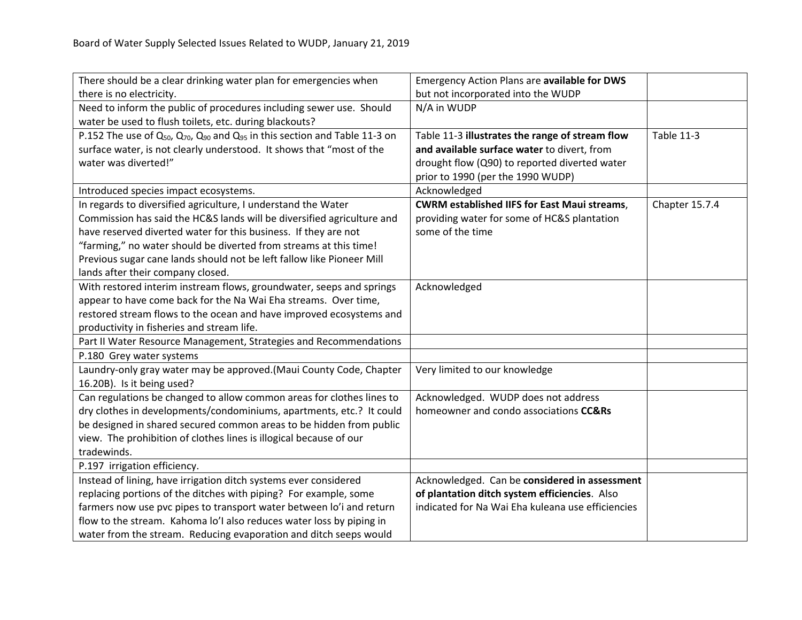| There should be a clear drinking water plan for emergencies when                               | <b>Emergency Action Plans are available for DWS</b> |                   |
|------------------------------------------------------------------------------------------------|-----------------------------------------------------|-------------------|
| there is no electricity.                                                                       | but not incorporated into the WUDP                  |                   |
| Need to inform the public of procedures including sewer use. Should                            | N/A in WUDP                                         |                   |
| water be used to flush toilets, etc. during blackouts?                                         |                                                     |                   |
| P.152 The use of $Q_{50}$ , $Q_{70}$ , $Q_{90}$ and $Q_{95}$ in this section and Table 11-3 on | Table 11-3 illustrates the range of stream flow     | <b>Table 11-3</b> |
| surface water, is not clearly understood. It shows that "most of the                           | and available surface water to divert, from         |                   |
| water was diverted!"                                                                           | drought flow (Q90) to reported diverted water       |                   |
|                                                                                                | prior to 1990 (per the 1990 WUDP)                   |                   |
| Introduced species impact ecosystems.                                                          | Acknowledged                                        |                   |
| In regards to diversified agriculture, I understand the Water                                  | <b>CWRM established IIFS for East Maui streams,</b> | Chapter 15.7.4    |
| Commission has said the HC&S lands will be diversified agriculture and                         | providing water for some of HC&S plantation         |                   |
| have reserved diverted water for this business. If they are not                                | some of the time                                    |                   |
| "farming," no water should be diverted from streams at this time!                              |                                                     |                   |
| Previous sugar cane lands should not be left fallow like Pioneer Mill                          |                                                     |                   |
| lands after their company closed.                                                              |                                                     |                   |
| With restored interim instream flows, groundwater, seeps and springs                           | Acknowledged                                        |                   |
| appear to have come back for the Na Wai Eha streams. Over time,                                |                                                     |                   |
| restored stream flows to the ocean and have improved ecosystems and                            |                                                     |                   |
| productivity in fisheries and stream life.                                                     |                                                     |                   |
| Part II Water Resource Management, Strategies and Recommendations                              |                                                     |                   |
| P.180 Grey water systems                                                                       |                                                     |                   |
| Laundry-only gray water may be approved.(Maui County Code, Chapter                             | Very limited to our knowledge                       |                   |
| 16.20B). Is it being used?                                                                     |                                                     |                   |
| Can regulations be changed to allow common areas for clothes lines to                          | Acknowledged. WUDP does not address                 |                   |
| dry clothes in developments/condominiums, apartments, etc.? It could                           | homeowner and condo associations CC&Rs              |                   |
| be designed in shared secured common areas to be hidden from public                            |                                                     |                   |
| view. The prohibition of clothes lines is illogical because of our                             |                                                     |                   |
| tradewinds.                                                                                    |                                                     |                   |
| P.197 irrigation efficiency.                                                                   |                                                     |                   |
| Instead of lining, have irrigation ditch systems ever considered                               | Acknowledged. Can be considered in assessment       |                   |
| replacing portions of the ditches with piping? For example, some                               | of plantation ditch system efficiencies. Also       |                   |
| farmers now use pvc pipes to transport water between lo'i and return                           | indicated for Na Wai Eha kuleana use efficiencies   |                   |
| flow to the stream. Kahoma lo'l also reduces water loss by piping in                           |                                                     |                   |
| water from the stream. Reducing evaporation and ditch seeps would                              |                                                     |                   |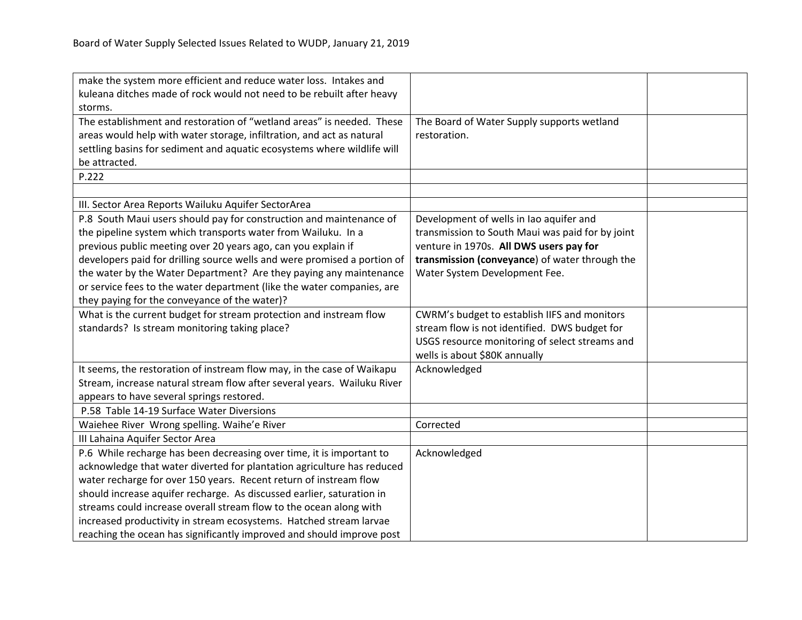| make the system more efficient and reduce water loss. Intakes and        |                                                  |  |
|--------------------------------------------------------------------------|--------------------------------------------------|--|
| kuleana ditches made of rock would not need to be rebuilt after heavy    |                                                  |  |
| storms.                                                                  |                                                  |  |
| The establishment and restoration of "wetland areas" is needed. These    | The Board of Water Supply supports wetland       |  |
| areas would help with water storage, infiltration, and act as natural    | restoration.                                     |  |
| settling basins for sediment and aquatic ecosystems where wildlife will  |                                                  |  |
| be attracted.                                                            |                                                  |  |
| P.222                                                                    |                                                  |  |
|                                                                          |                                                  |  |
| III. Sector Area Reports Wailuku Aquifer SectorArea                      |                                                  |  |
| P.8 South Maui users should pay for construction and maintenance of      | Development of wells in Iao aquifer and          |  |
| the pipeline system which transports water from Wailuku. In a            | transmission to South Maui was paid for by joint |  |
| previous public meeting over 20 years ago, can you explain if            | venture in 1970s. All DWS users pay for          |  |
| developers paid for drilling source wells and were promised a portion of | transmission (conveyance) of water through the   |  |
| the water by the Water Department? Are they paying any maintenance       | Water System Development Fee.                    |  |
| or service fees to the water department (like the water companies, are   |                                                  |  |
| they paying for the conveyance of the water)?                            |                                                  |  |
| What is the current budget for stream protection and instream flow       | CWRM's budget to establish IIFS and monitors     |  |
| standards? Is stream monitoring taking place?                            | stream flow is not identified. DWS budget for    |  |
|                                                                          | USGS resource monitoring of select streams and   |  |
|                                                                          | wells is about \$80K annually                    |  |
| It seems, the restoration of instream flow may, in the case of Waikapu   | Acknowledged                                     |  |
| Stream, increase natural stream flow after several years. Wailuku River  |                                                  |  |
| appears to have several springs restored.                                |                                                  |  |
| P.58 Table 14-19 Surface Water Diversions                                |                                                  |  |
| Waiehee River Wrong spelling. Waihe'e River                              | Corrected                                        |  |
| III Lahaina Aquifer Sector Area                                          |                                                  |  |
| P.6 While recharge has been decreasing over time, it is important to     | Acknowledged                                     |  |
| acknowledge that water diverted for plantation agriculture has reduced   |                                                  |  |
| water recharge for over 150 years. Recent return of instream flow        |                                                  |  |
| should increase aquifer recharge. As discussed earlier, saturation in    |                                                  |  |
| streams could increase overall stream flow to the ocean along with       |                                                  |  |
| increased productivity in stream ecosystems. Hatched stream larvae       |                                                  |  |
| reaching the ocean has significantly improved and should improve post    |                                                  |  |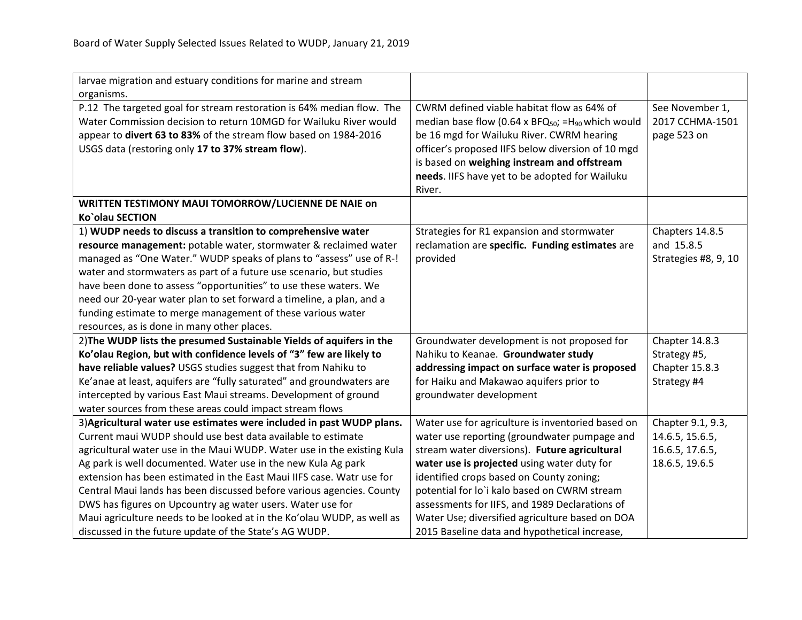| larvae migration and estuary conditions for marine and stream           |                                                                            |                      |
|-------------------------------------------------------------------------|----------------------------------------------------------------------------|----------------------|
| organisms.                                                              |                                                                            |                      |
| P.12 The targeted goal for stream restoration is 64% median flow. The   | CWRM defined viable habitat flow as 64% of                                 | See November 1,      |
| Water Commission decision to return 10MGD for Wailuku River would       | median base flow (0.64 x BFQ <sub>50</sub> ; = H <sub>90</sub> which would | 2017 CCHMA-1501      |
| appear to divert 63 to 83% of the stream flow based on 1984-2016        | be 16 mgd for Wailuku River. CWRM hearing                                  | page 523 on          |
| USGS data (restoring only 17 to 37% stream flow).                       | officer's proposed IIFS below diversion of 10 mgd                          |                      |
|                                                                         | is based on weighing instream and offstream                                |                      |
|                                                                         | needs. IIFS have yet to be adopted for Wailuku                             |                      |
|                                                                         | River.                                                                     |                      |
| WRITTEN TESTIMONY MAUI TOMORROW/LUCIENNE DE NAIE on                     |                                                                            |                      |
| Ko'olau SECTION                                                         |                                                                            |                      |
| 1) WUDP needs to discuss a transition to comprehensive water            | Strategies for R1 expansion and stormwater                                 | Chapters 14.8.5      |
| resource management: potable water, stormwater & reclaimed water        | reclamation are specific. Funding estimates are                            | and 15.8.5           |
| managed as "One Water." WUDP speaks of plans to "assess" use of R-!     | provided                                                                   | Strategies #8, 9, 10 |
| water and stormwaters as part of a future use scenario, but studies     |                                                                            |                      |
| have been done to assess "opportunities" to use these waters. We        |                                                                            |                      |
| need our 20-year water plan to set forward a timeline, a plan, and a    |                                                                            |                      |
| funding estimate to merge management of these various water             |                                                                            |                      |
| resources, as is done in many other places.                             |                                                                            |                      |
| 2) The WUDP lists the presumed Sustainable Yields of aquifers in the    | Groundwater development is not proposed for                                | Chapter 14.8.3       |
| Ko'olau Region, but with confidence levels of "3" few are likely to     | Nahiku to Keanae. Groundwater study                                        | Strategy #5,         |
| have reliable values? USGS studies suggest that from Nahiku to          | addressing impact on surface water is proposed                             | Chapter 15.8.3       |
| Ke'anae at least, aquifers are "fully saturated" and groundwaters are   | for Haiku and Makawao aquifers prior to                                    | Strategy #4          |
| intercepted by various East Maui streams. Development of ground         | groundwater development                                                    |                      |
| water sources from these areas could impact stream flows                |                                                                            |                      |
| 3) Agricultural water use estimates were included in past WUDP plans.   | Water use for agriculture is inventoried based on                          | Chapter 9.1, 9.3,    |
| Current maui WUDP should use best data available to estimate            | water use reporting (groundwater pumpage and                               | 14.6.5, 15.6.5,      |
| agricultural water use in the Maui WUDP. Water use in the existing Kula | stream water diversions). Future agricultural                              | 16.6.5, 17.6.5,      |
| Ag park is well documented. Water use in the new Kula Ag park           | water use is projected using water duty for                                | 18.6.5, 19.6.5       |
| extension has been estimated in the East Maui IIFS case. Watr use for   | identified crops based on County zoning;                                   |                      |
| Central Maui lands has been discussed before various agencies. County   | potential for lo'i kalo based on CWRM stream                               |                      |
| DWS has figures on Upcountry ag water users. Water use for              | assessments for IIFS, and 1989 Declarations of                             |                      |
| Maui agriculture needs to be looked at in the Ko'olau WUDP, as well as  | Water Use; diversified agriculture based on DOA                            |                      |
| discussed in the future update of the State's AG WUDP.                  | 2015 Baseline data and hypothetical increase,                              |                      |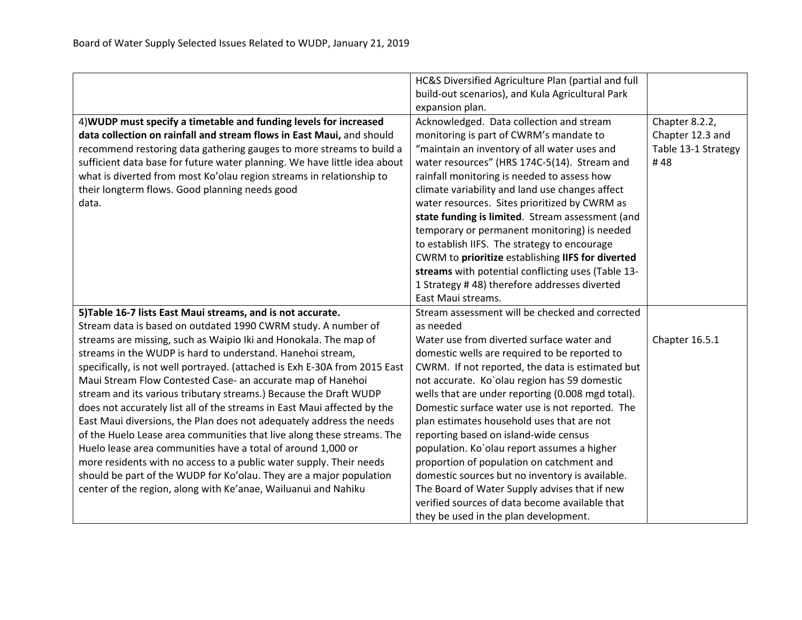|                                                                            | HC&S Diversified Agriculture Plan (partial and full |                     |
|----------------------------------------------------------------------------|-----------------------------------------------------|---------------------|
|                                                                            | build-out scenarios), and Kula Agricultural Park    |                     |
|                                                                            | expansion plan.                                     |                     |
| 4) WUDP must specify a timetable and funding levels for increased          | Acknowledged. Data collection and stream            | Chapter 8.2.2,      |
| data collection on rainfall and stream flows in East Maui, and should      | monitoring is part of CWRM's mandate to             | Chapter 12.3 and    |
| recommend restoring data gathering gauges to more streams to build a       | "maintain an inventory of all water uses and        | Table 13-1 Strategy |
| sufficient data base for future water planning. We have little idea about  | water resources" (HRS 174C-5(14). Stream and        | #48                 |
| what is diverted from most Ko'olau region streams in relationship to       | rainfall monitoring is needed to assess how         |                     |
| their longterm flows. Good planning needs good                             | climate variability and land use changes affect     |                     |
| data.                                                                      | water resources. Sites prioritized by CWRM as       |                     |
|                                                                            | state funding is limited. Stream assessment (and    |                     |
|                                                                            | temporary or permanent monitoring) is needed        |                     |
|                                                                            | to establish IIFS. The strategy to encourage        |                     |
|                                                                            | CWRM to prioritize establishing IIFS for diverted   |                     |
|                                                                            | streams with potential conflicting uses (Table 13-  |                     |
|                                                                            | 1 Strategy #48) therefore addresses diverted        |                     |
|                                                                            | East Maui streams.                                  |                     |
| 5) Table 16-7 lists East Maui streams, and is not accurate.                | Stream assessment will be checked and corrected     |                     |
| Stream data is based on outdated 1990 CWRM study. A number of              | as needed                                           |                     |
| streams are missing, such as Waipio Iki and Honokala. The map of           | Water use from diverted surface water and           | Chapter 16.5.1      |
| streams in the WUDP is hard to understand. Hanehoi stream,                 | domestic wells are required to be reported to       |                     |
| specifically, is not well portrayed. (attached is Exh E-30A from 2015 East | CWRM. If not reported, the data is estimated but    |                     |
| Maui Stream Flow Contested Case- an accurate map of Hanehoi                | not accurate. Ko'olau region has 59 domestic        |                     |
| stream and its various tributary streams.) Because the Draft WUDP          | wells that are under reporting (0.008 mgd total).   |                     |
| does not accurately list all of the streams in East Maui affected by the   | Domestic surface water use is not reported. The     |                     |
| East Maui diversions, the Plan does not adequately address the needs       | plan estimates household uses that are not          |                     |
| of the Huelo Lease area communities that live along these streams. The     | reporting based on island-wide census               |                     |
| Huelo lease area communities have a total of around 1,000 or               | population. Ko'olau report assumes a higher         |                     |
| more residents with no access to a public water supply. Their needs        | proportion of population on catchment and           |                     |
| should be part of the WUDP for Ko'olau. They are a major population        | domestic sources but no inventory is available.     |                     |
| center of the region, along with Ke'anae, Wailuanui and Nahiku             | The Board of Water Supply advises that if new       |                     |
|                                                                            | verified sources of data become available that      |                     |
|                                                                            | they be used in the plan development.               |                     |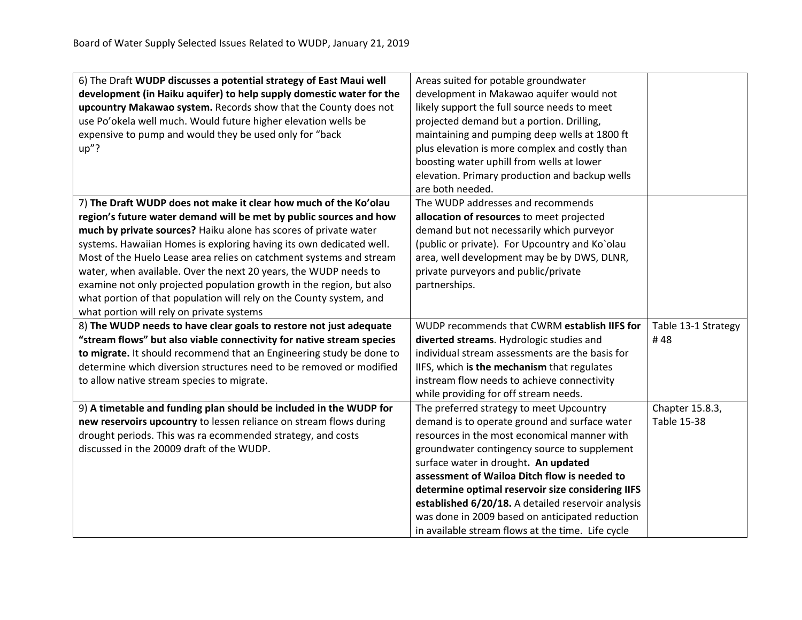| 6) The Draft WUDP discusses a potential strategy of East Maui well    | Areas suited for potable groundwater               |                     |
|-----------------------------------------------------------------------|----------------------------------------------------|---------------------|
| development (in Haiku aquifer) to help supply domestic water for the  | development in Makawao aquifer would not           |                     |
| upcountry Makawao system. Records show that the County does not       | likely support the full source needs to meet       |                     |
| use Po'okela well much. Would future higher elevation wells be        | projected demand but a portion. Drilling,          |                     |
| expensive to pump and would they be used only for "back               | maintaining and pumping deep wells at 1800 ft      |                     |
| $up''$ ?                                                              | plus elevation is more complex and costly than     |                     |
|                                                                       | boosting water uphill from wells at lower          |                     |
|                                                                       | elevation. Primary production and backup wells     |                     |
|                                                                       | are both needed.                                   |                     |
| 7) The Draft WUDP does not make it clear how much of the Ko'olau      | The WUDP addresses and recommends                  |                     |
| region's future water demand will be met by public sources and how    | allocation of resources to meet projected          |                     |
| much by private sources? Haiku alone has scores of private water      | demand but not necessarily which purveyor          |                     |
| systems. Hawaiian Homes is exploring having its own dedicated well.   | (public or private). For Upcountry and Ko`olau     |                     |
| Most of the Huelo Lease area relies on catchment systems and stream   | area, well development may be by DWS, DLNR,        |                     |
| water, when available. Over the next 20 years, the WUDP needs to      | private purveyors and public/private               |                     |
| examine not only projected population growth in the region, but also  | partnerships.                                      |                     |
| what portion of that population will rely on the County system, and   |                                                    |                     |
| what portion will rely on private systems                             |                                                    |                     |
| 8) The WUDP needs to have clear goals to restore not just adequate    | WUDP recommends that CWRM establish IIFS for       | Table 13-1 Strategy |
| "stream flows" but also viable connectivity for native stream species | diverted streams. Hydrologic studies and           | #48                 |
| to migrate. It should recommend that an Engineering study be done to  | individual stream assessments are the basis for    |                     |
| determine which diversion structures need to be removed or modified   | IIFS, which is the mechanism that regulates        |                     |
| to allow native stream species to migrate.                            | instream flow needs to achieve connectivity        |                     |
|                                                                       | while providing for off stream needs.              |                     |
| 9) A timetable and funding plan should be included in the WUDP for    | The preferred strategy to meet Upcountry           | Chapter 15.8.3,     |
| new reservoirs upcountry to lessen reliance on stream flows during    | demand is to operate ground and surface water      | <b>Table 15-38</b>  |
| drought periods. This was ra ecommended strategy, and costs           | resources in the most economical manner with       |                     |
| discussed in the 20009 draft of the WUDP.                             | groundwater contingency source to supplement       |                     |
|                                                                       | surface water in drought. An updated               |                     |
|                                                                       | assessment of Wailoa Ditch flow is needed to       |                     |
|                                                                       | determine optimal reservoir size considering IIFS  |                     |
|                                                                       | established 6/20/18. A detailed reservoir analysis |                     |
|                                                                       | was done in 2009 based on anticipated reduction    |                     |
|                                                                       | in available stream flows at the time. Life cycle  |                     |